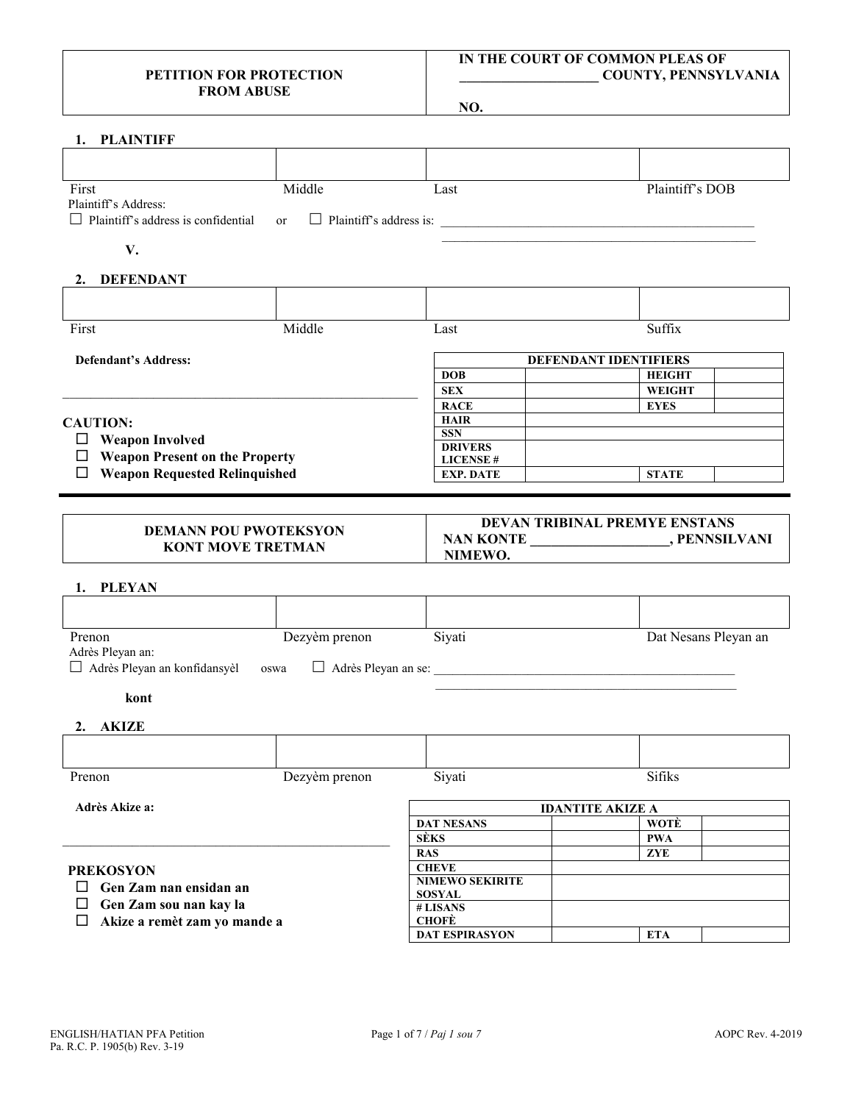### **PETITION FOR PROTECTION FROM ABUSE**

# **IN THE COURT OF COMMON PLEAS OF \_\_\_\_\_\_\_\_\_\_\_\_\_\_\_\_\_\_\_\_ COUNTY, PENNSYLVANIA**

**NO.**

| 1. PLAINTIFF                                                          |               |                                        |                         |
|-----------------------------------------------------------------------|---------------|----------------------------------------|-------------------------|
|                                                                       |               |                                        |                         |
| First                                                                 | Middle        | Last                                   | Plaintiff's DOB         |
| Plaintiff's Address:                                                  |               |                                        |                         |
| $\Box$ Plaintiff's address is confidential                            | <b>or</b>     |                                        |                         |
| V.                                                                    |               |                                        |                         |
| 2. DEFENDANT                                                          |               |                                        |                         |
|                                                                       |               |                                        |                         |
| First                                                                 | Middle        | Last                                   | Suffix                  |
| <b>Defendant's Address:</b>                                           |               |                                        | DEFENDANT IDENTIFIERS   |
|                                                                       |               | <b>DOB</b>                             | <b>HEIGHT</b>           |
|                                                                       |               | <b>SEX</b>                             | WEIGHT                  |
|                                                                       |               | <b>RACE</b>                            | <b>EYES</b>             |
| <b>CAUTION:</b>                                                       |               | <b>HAIR</b>                            |                         |
| $\Box$ Weapon Involved                                                |               | <b>SSN</b>                             |                         |
|                                                                       |               | <b>DRIVERS</b>                         |                         |
| $\Box$ Weapon Present on the Property                                 |               | <b>LICENSE#</b>                        |                         |
| $\Box$ Weapon Requested Relinquished                                  |               | <b>EXP. DATE</b>                       | <b>STATE</b>            |
| 1. PLEYAN                                                             |               | NIMEWO.                                |                         |
|                                                                       |               |                                        |                         |
| Prenon                                                                | Dezyèm prenon | Siyati                                 | Dat Nesans Pleyan an    |
| Adrès Pleyan an:                                                      |               |                                        |                         |
| □ Adrès Pleyan an konfidansyèl                                        | oswa          |                                        |                         |
| kont                                                                  |               |                                        |                         |
| 2. AKIZE                                                              |               |                                        |                         |
|                                                                       |               |                                        |                         |
| Prenon                                                                | Dezyèm prenon | Siyati                                 | Sifiks                  |
| Adrès Akize a:                                                        |               |                                        | <b>IDANTITE AKIZE A</b> |
|                                                                       |               | <b>DAT NESANS</b>                      | <b>WOTE</b>             |
|                                                                       |               | <b>SÈKS</b>                            | <b>PWA</b>              |
| <b>PREKOSYON</b>                                                      |               | RAS                                    | ${\bf ZYE}$             |
|                                                                       |               | <b>CHEVE</b><br><b>NIMEWO SEKIRITE</b> |                         |
| Gen Zam nan ensidan an<br>⊔                                           |               | <b>SOSYAL</b>                          |                         |
| Gen Zam sou nan kay la<br>$\Box$<br>Akize a remèt zam yo mande a<br>□ |               | # LISANS                               |                         |
|                                                                       |               | <b>CHOFÈ</b>                           |                         |
|                                                                       |               | <b>DAT ESPIRASYON</b>                  | <b>ETA</b>              |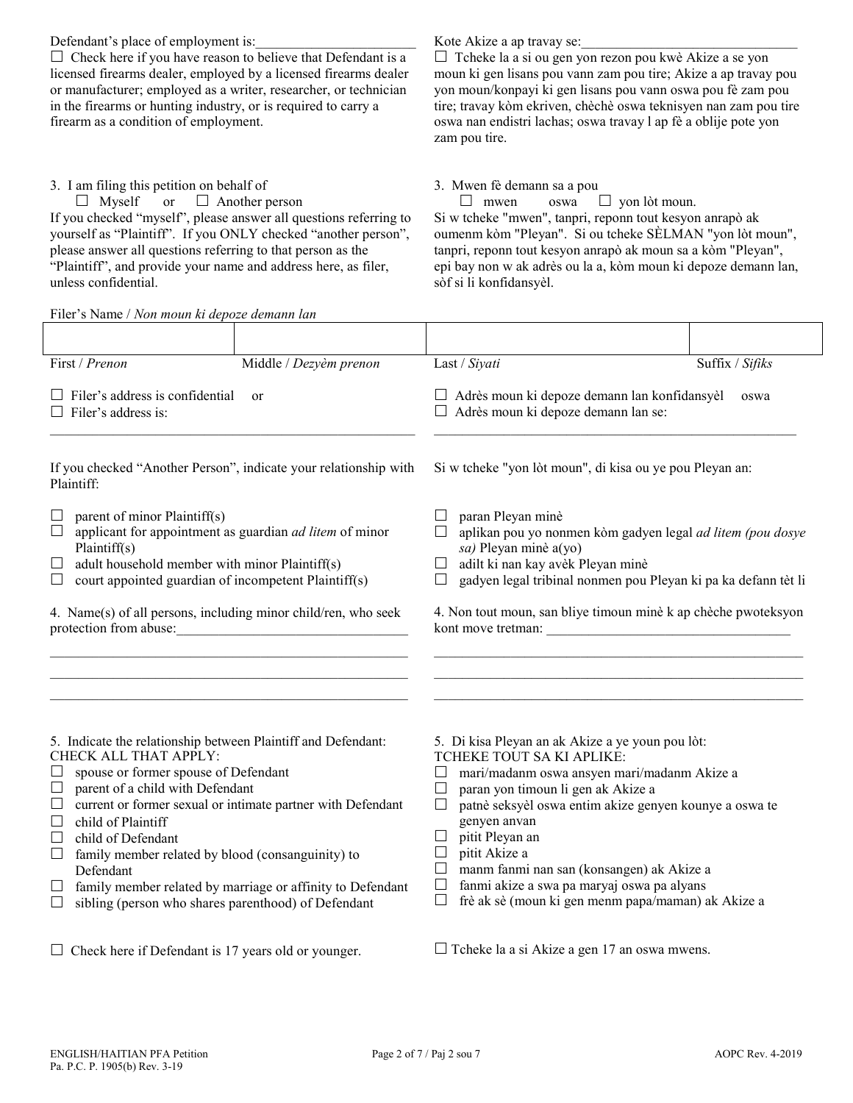Defendant's place of employment is:

 $\Box$  Check here if you have reason to believe that Defendant is a licensed firearms dealer, employed by a licensed firearms dealer or manufacturer; employed as a writer, researcher, or technician in the firearms or hunting industry, or is required to carry a firearm as a condition of employment.

### 3. I am filing this petition on behalf of

 $\Box$  Myself or  $\Box$  Another person If you checked "myself", please answer all questions referring to yourself as "Plaintiff". If you ONLY checked "another person", please answer all questions referring to that person as the "Plaintiff", and provide your name and address here, as filer, unless confidential.

Filer's Name / *Non moun ki depoze demann lan*

## Kote Akize a ap travay se:

 $\Box$  Tcheke la a si ou gen yon rezon pou kwè Akize a se yon moun ki gen lisans pou vann zam pou tire; Akize a ap travay pou yon moun/konpayi ki gen lisans pou vann oswa pou fè zam pou tire; travay kòm ekriven, chèchè oswa teknisyen nan zam pou tire oswa nan endistri lachas; oswa travay l ap fè a oblije pote yon zam pou tire.

#### 3. Mwen fè demann sa a pou

 $\Box$  mwen oswa  $\Box$  yon lòt moun. Si w tcheke "mwen", tanpri, reponn tout kesyon anrapò ak oumenm kòm "Pleyan". Si ou tcheke SÈLMAN "yon lòt moun", tanpri, reponn tout kesyon anrapò ak moun sa a kòm "Pleyan", epi bay non w ak adrès ou la a, kòm moun ki depoze demann lan, sòf si li konfidansyèl.

| First / Prenon                                                                                                                                                                                                                                                                                                                                                                                                                                                                 | Middle / Dezyèm prenon | Last / Siyati                                                                                                                                                                                                                                                                                                                                                                                                                                     | Suffix / Sifiks |
|--------------------------------------------------------------------------------------------------------------------------------------------------------------------------------------------------------------------------------------------------------------------------------------------------------------------------------------------------------------------------------------------------------------------------------------------------------------------------------|------------------------|---------------------------------------------------------------------------------------------------------------------------------------------------------------------------------------------------------------------------------------------------------------------------------------------------------------------------------------------------------------------------------------------------------------------------------------------------|-----------------|
| $\Box$ Filer's address is confidential<br>or<br>$\Box$ Filer's address is:                                                                                                                                                                                                                                                                                                                                                                                                     |                        | □ Adrès moun ki depoze demann lan konfidansyèl<br>oswa<br>□ Adrès moun ki depoze demann lan se:                                                                                                                                                                                                                                                                                                                                                   |                 |
| If you checked "Another Person", indicate your relationship with<br>Plaintiff:                                                                                                                                                                                                                                                                                                                                                                                                 |                        | Si w tcheke "yon lòt moun", di kisa ou ye pou Pleyan an:                                                                                                                                                                                                                                                                                                                                                                                          |                 |
| parent of minor Plaintiff(s)<br>⊔<br>applicant for appointment as guardian ad litem of minor<br>$\Box$<br>Plaintiff(s)<br>adult household member with minor Plaintiff(s)<br>$\Box$<br>court appointed guardian of incompetent Plaintiff(s)<br>$\Box$<br>4. Name(s) of all persons, including minor child/ren, who seek<br>protection from abuse:                                                                                                                               |                        | paran Pleyan minè<br>aplikan pou yo nonmen kòm gadyen legal ad litem (pou dosye<br>sa) Pleyan minè a(yo)<br>adilt ki nan kay avèk Pleyan minè<br>$\Box$<br>gadyen legal tribinal nonmen pou Pleyan ki pa ka defann tèt li<br>$\Box$<br>4. Non tout moun, san bliye timoun minè k ap chèche pwoteksyon                                                                                                                                             |                 |
| 5. Indicate the relationship between Plaintiff and Defendant:<br>CHECK ALL THAT APPLY:<br>spouse or former spouse of Defendant<br>⊔<br>parent of a child with Defendant<br>$\Box$<br>current or former sexual or intimate partner with Defendant<br>$\Box$<br>child of Plaintiff<br>$\Box$<br>child of Defendant<br>$\Box$<br>family member related by blood (consanguinity) to<br>$\Box$<br>Defendant<br>family member related by marriage or affinity to Defendant<br>$\Box$ |                        | 5. Di kisa Pleyan an ak Akize a ye youn pou lòt:<br>TCHEKE TOUT SA KI APLIKE:<br>mari/madanm oswa ansyen mari/madanm Akize a<br>$\Box$<br>paran yon timoun li gen ak Akize a<br>$\Box$<br>patnè seksyèl oswa entim akize genyen kounye a oswa te<br>$\Box$<br>genyen anvan<br>pitit Pleyan an<br>$\Box$<br>pitit Akize a<br>$\Box$<br>manm fanmi nan san (konsangen) ak Akize a<br>$\Box$<br>fanmi akize a swa pa maryaj oswa pa alyans<br>$\Box$ |                 |
| sibling (person who shares parenthood) of Defendant<br>$\Box$                                                                                                                                                                                                                                                                                                                                                                                                                  |                        | frè ak sè (moun ki gen menm papa/maman) ak Akize a<br>$\Box$                                                                                                                                                                                                                                                                                                                                                                                      |                 |
| $\Box$ Check here if Defendant is 17 years old or younger.                                                                                                                                                                                                                                                                                                                                                                                                                     |                        | $\Box$ Tcheke la a si Akize a gen 17 an oswa mwens.                                                                                                                                                                                                                                                                                                                                                                                               |                 |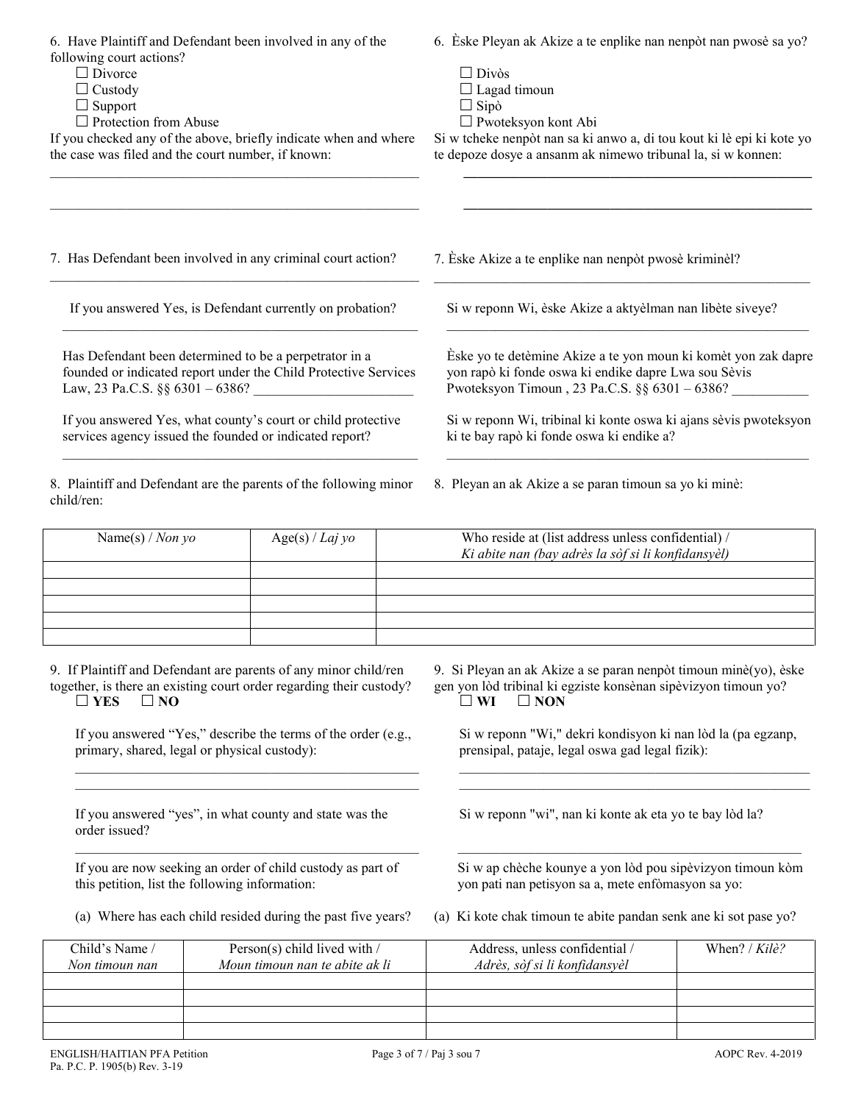| 6. Have Plaintiff and Defendant been involved in any of the<br>following court actions?<br>$\Box$ Divorce<br>$\Box$ Custody<br>$\Box$ Support<br>$\Box$ Protection from Abuse<br>If you checked any of the above, briefly indicate when and where<br>the case was filed and the court number, if known: |                   | 6. Èske Pleyan ak Akize a te enplike nan nenpòt nan pwosè sa yo?<br>$\Box$ Divòs<br>$\Box$ Lagad timoun<br>$\Box$ Sipò<br>$\Box$ Pwoteksyon kont Abi<br>Si w tcheke nenpòt nan sa ki anwo a, di tou kout ki lè epi ki kote yo<br>te depoze dosye a ansanm ak nimewo tribunal la, si w konnen: |
|---------------------------------------------------------------------------------------------------------------------------------------------------------------------------------------------------------------------------------------------------------------------------------------------------------|-------------------|-----------------------------------------------------------------------------------------------------------------------------------------------------------------------------------------------------------------------------------------------------------------------------------------------|
| 7. Has Defendant been involved in any criminal court action?                                                                                                                                                                                                                                            |                   | 7. Èske Akize a te enplike nan nenpòt pwosè kriminèl?                                                                                                                                                                                                                                         |
| If you answered Yes, is Defendant currently on probation?                                                                                                                                                                                                                                               |                   | Si w reponn Wi, èske Akize a aktyèlman nan libète siveye?                                                                                                                                                                                                                                     |
| Has Defendant been determined to be a perpetrator in a<br>founded or indicated report under the Child Protective Services<br>Law, 23 Pa.C.S. §§ 6301 - 6386?                                                                                                                                            |                   | Èske yo te detèmine Akize a te yon moun ki komèt yon zak dapre<br>yon rapò ki fonde oswa ki endike dapre Lwa sou Sèvis<br>Pwoteksyon Timoun, 23 Pa.C.S. §§ 6301 - 6386?                                                                                                                       |
| If you answered Yes, what county's court or child protective<br>services agency issued the founded or indicated report?                                                                                                                                                                                 |                   | Si w reponn Wi, tribinal ki konte oswa ki ajans sèvis pwoteksyon<br>ki te bay rapò ki fonde oswa ki endike a?                                                                                                                                                                                 |
| 8. Plaintiff and Defendant are the parents of the following minor<br>child/ren:                                                                                                                                                                                                                         |                   | 8. Pleyan an ak Akize a se paran timoun sa yo ki minè:                                                                                                                                                                                                                                        |
| Name(s) / Non yo                                                                                                                                                                                                                                                                                        | $Age(s) / Laj$ yo | Who reside at (list address unless confidential) /<br>Ki abite nan (bay adrès la sòf si li konfidansyèl)                                                                                                                                                                                      |
|                                                                                                                                                                                                                                                                                                         |                   |                                                                                                                                                                                                                                                                                               |
| 9. If Plaintiff and Defendant are parents of any minor child/ren                                                                                                                                                                                                                                        |                   | 9. Si Pleyan an ak Akize a se paran nenpòt timoun minè(yo), èske                                                                                                                                                                                                                              |

together, is there an existing court order regarding their custody?  $\Box$  YES  $\Box$  NO

If you answered "Yes," describe the terms of the order (e.g., primary, shared, legal or physical custody):  $\_$  , and the set of the set of the set of the set of the set of the set of the set of the set of the set of the set of the set of the set of the set of the set of the set of the set of the set of the set of the set of th

\_\_\_\_\_\_\_\_\_\_\_\_\_\_\_\_\_\_\_\_\_\_\_\_\_\_\_\_\_\_\_\_\_\_\_\_\_\_\_\_\_\_\_\_\_\_\_\_\_

\_\_\_\_\_\_\_\_\_\_\_\_\_\_\_\_\_\_\_\_\_\_\_\_\_\_\_\_\_\_\_\_\_\_\_\_\_\_\_\_\_\_\_\_\_\_\_\_\_

If you answered "yes", in what county and state was the order issued?

If you are now seeking an order of child custody as part of this petition, list the following information:

gen yon lòd tribinal ki egziste konsènan sipèvizyon timoun yo?<br> $\square$  WI  $\square$  NON  $\Box$  **NON** 

Si w reponn "Wi," dekri kondisyon ki nan lòd la (pa egzanp, prensipal, pataje, legal oswa gad legal fizik):

\_\_\_\_\_\_\_\_\_\_\_\_\_\_\_\_\_\_\_\_\_\_\_\_\_\_\_\_\_\_\_\_\_\_\_\_\_\_\_\_\_\_\_\_\_\_\_\_\_\_  $\mathcal{L}_\text{max} = \mathcal{L}_\text{max} = \mathcal{L}_\text{max} = \mathcal{L}_\text{max} = \mathcal{L}_\text{max} = \mathcal{L}_\text{max} = \mathcal{L}_\text{max}$ 

Si w reponn "wi", nan ki konte ak eta yo te bay lòd la?

Si w ap chèche kounye a yon lòd pou sipèvizyon timoun kòm yon pati nan petisyon sa a, mete enfòmasyon sa yo:

 $\mathcal{L}_\text{max}$  and the set of the set of the set of the set of the set of the set of the set of the set of the set of the set of the set of the set of the set of the set of the set of the set of the set of the set of the s

(a) Where has each child resided during the past five years? (a) Ki kote chak timoun te abite pandan senk ane ki sot pase yo?

| Child's Name /<br>Non timoun nan | Person(s) child lived with $\ell$<br>Moun timoun nan te abite ak li | Address, unless confidential /<br>Adrès, sòf si li konfidansyèl | When? / $Kil\hat{e}$ ? |
|----------------------------------|---------------------------------------------------------------------|-----------------------------------------------------------------|------------------------|
|                                  |                                                                     |                                                                 |                        |
|                                  |                                                                     |                                                                 |                        |
|                                  |                                                                     |                                                                 |                        |
|                                  |                                                                     |                                                                 |                        |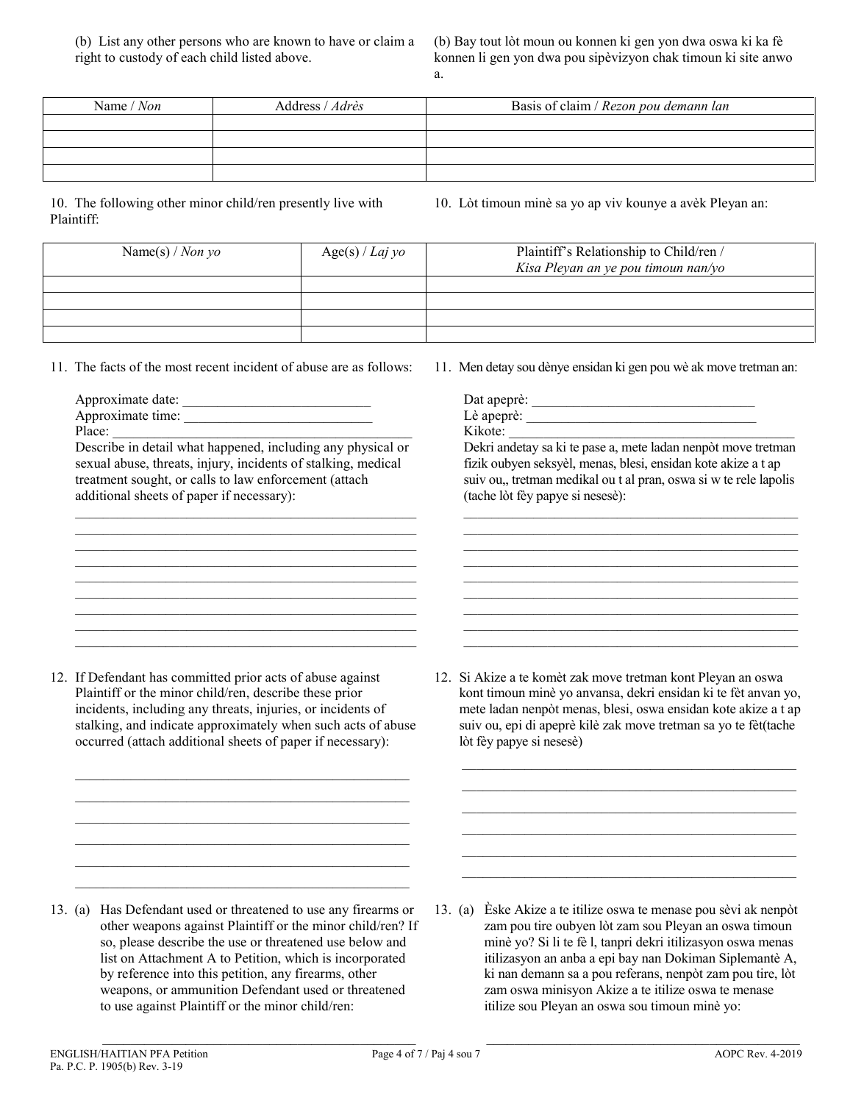(b) Bay tout lòt moun ou konnen ki gen yon dwa oswa ki ka fè konnen li gen yon dwa pou sipèvizyon chak timoun ki site anwo a.

| Name / Non | Address / Adrès | Basis of claim / Rezon pou demann lan |
|------------|-----------------|---------------------------------------|
|            |                 |                                       |
|            |                 |                                       |
|            |                 |                                       |
|            |                 |                                       |

10. The following other minor child/ren presently live with Plaintiff:

10. Lòt timoun minè sa yo ap viv kounye a avèk Pleyan an:

| Name(s) / Non yo | Age(s) / Laj yo | Plaintiff's Relationship to Child/ren /<br>Kisa Pleyan an ye pou timoun nan/yo |
|------------------|-----------------|--------------------------------------------------------------------------------|
|                  |                 |                                                                                |
|                  |                 |                                                                                |
|                  |                 |                                                                                |
|                  |                 |                                                                                |

11. The facts of the most recent incident of abuse are as follows:

Approximate date:

Approximate time:

Place:

Describe in detail what happened, including any physical or sexual abuse, threats, injury, incidents of stalking, medical treatment sought, or calls to law enforcement (attach additional sheets of paper if necessary): \_\_\_\_\_\_\_\_\_\_\_\_\_\_\_\_\_\_\_\_\_\_\_\_\_\_\_\_\_\_\_\_\_\_\_\_\_\_\_\_\_\_\_\_\_\_\_\_\_

\_\_\_\_\_\_\_\_\_\_\_\_\_\_\_\_\_\_\_\_\_\_\_\_\_\_\_\_\_\_\_\_\_\_\_\_\_\_\_\_\_\_\_\_\_\_\_\_\_  $\mathcal{L}_\text{max}$  and  $\mathcal{L}_\text{max}$  and  $\mathcal{L}_\text{max}$  and  $\mathcal{L}_\text{max}$  and  $\mathcal{L}_\text{max}$ \_\_\_\_\_\_\_\_\_\_\_\_\_\_\_\_\_\_\_\_\_\_\_\_\_\_\_\_\_\_\_\_\_\_\_\_\_\_\_\_\_\_\_\_\_\_\_\_\_  $\mathcal{L}_\text{max}$  and  $\mathcal{L}_\text{max}$  and  $\mathcal{L}_\text{max}$  and  $\mathcal{L}_\text{max}$  and  $\mathcal{L}_\text{max}$ 

\_\_\_\_\_\_\_\_\_\_\_\_\_\_\_\_\_\_\_\_\_\_\_\_\_\_\_\_\_\_\_\_\_\_\_\_\_\_\_\_\_\_\_\_\_\_\_\_\_ \_\_\_\_\_\_\_\_\_\_\_\_\_\_\_\_\_\_\_\_\_\_\_\_\_\_\_\_\_\_\_\_\_\_\_\_\_\_\_\_\_\_\_\_\_\_\_\_\_  $\mathcal{L}_\text{max}$  and  $\mathcal{L}_\text{max}$  and  $\mathcal{L}_\text{max}$  and  $\mathcal{L}_\text{max}$  and  $\mathcal{L}_\text{max}$  11. Men detay sou dènye ensidan ki gen pou wè ak move tretman an:

| Dat apeprè: |  |
|-------------|--|
| Lè apeprè:  |  |
| Kikote:     |  |

Dekri andetay sa ki te pase a, mete ladan nenpòt move tretman fizik oubyen seksyèl, menas, blesi, ensidan kote akize a t ap suiv ou,, tretman medikal ou t al pran, oswa si w te rele lapolis (tache lòt fèy papye si nesesè):

 $\_$  . The contribution of the contribution of  $\mathcal{L}_\mathcal{A}$  $\_$  . The contribution of the contribution of  $\mathcal{L}_\mathcal{A}$ \_\_\_\_\_\_\_\_\_\_\_\_\_\_\_\_\_\_\_\_\_\_\_\_\_\_\_\_\_\_\_\_\_\_\_\_\_\_\_\_\_\_\_\_\_\_\_\_  $\_$  . The contribution of the contribution of  $\mathcal{L}_\mathcal{A}$ \_\_\_\_\_\_\_\_\_\_\_\_\_\_\_\_\_\_\_\_\_\_\_\_\_\_\_\_\_\_\_\_\_\_\_\_\_\_\_\_\_\_\_\_\_\_\_\_

 $\_$  . The contribution of the contribution of  $\mathcal{L}_\mathcal{A}$  $\_$  . The contribution of the contribution of  $\mathcal{L}_\mathcal{A}$ \_\_\_\_\_\_\_\_\_\_\_\_\_\_\_\_\_\_\_\_\_\_\_\_\_\_\_\_\_\_\_\_\_\_\_\_\_\_\_\_\_\_\_\_\_\_\_\_

12. If Defendant has committed prior acts of abuse against Plaintiff or the minor child/ren, describe these prior incidents, including any threats, injuries, or incidents of stalking, and indicate approximately when such acts of abuse occurred (attach additional sheets of paper if necessary):

 $\mathcal{L}_\mathcal{L} = \{ \mathcal{L}_\mathcal{L} = \{ \mathcal{L}_\mathcal{L} = \{ \mathcal{L}_\mathcal{L} = \{ \mathcal{L}_\mathcal{L} = \{ \mathcal{L}_\mathcal{L} = \{ \mathcal{L}_\mathcal{L} = \{ \mathcal{L}_\mathcal{L} = \{ \mathcal{L}_\mathcal{L} = \{ \mathcal{L}_\mathcal{L} = \{ \mathcal{L}_\mathcal{L} = \{ \mathcal{L}_\mathcal{L} = \{ \mathcal{L}_\mathcal{L} = \{ \mathcal{L}_\mathcal{L} = \{ \mathcal{L}_\mathcal{$  $\mathcal{L}_\text{max}$  and  $\mathcal{L}_\text{max}$  and  $\mathcal{L}_\text{max}$  and  $\mathcal{L}_\text{max}$  and  $\mathcal{L}_\text{max}$  $\mathcal{L}_\text{max}$  and  $\mathcal{L}_\text{max}$  and  $\mathcal{L}_\text{max}$  and  $\mathcal{L}_\text{max}$  and  $\mathcal{L}_\text{max}$  $\mathcal{L}_\mathcal{L} = \{ \mathcal{L}_\mathcal{L} = \{ \mathcal{L}_\mathcal{L} = \{ \mathcal{L}_\mathcal{L} = \{ \mathcal{L}_\mathcal{L} = \{ \mathcal{L}_\mathcal{L} = \{ \mathcal{L}_\mathcal{L} = \{ \mathcal{L}_\mathcal{L} = \{ \mathcal{L}_\mathcal{L} = \{ \mathcal{L}_\mathcal{L} = \{ \mathcal{L}_\mathcal{L} = \{ \mathcal{L}_\mathcal{L} = \{ \mathcal{L}_\mathcal{L} = \{ \mathcal{L}_\mathcal{L} = \{ \mathcal{L}_\mathcal{$  $\mathcal{L}_\text{max}$  and  $\mathcal{L}_\text{max}$  and  $\mathcal{L}_\text{max}$  and  $\mathcal{L}_\text{max}$  and  $\mathcal{L}_\text{max}$  $\mathcal{L}_\mathcal{L} = \{ \mathcal{L}_\mathcal{L} = \{ \mathcal{L}_\mathcal{L} = \{ \mathcal{L}_\mathcal{L} = \{ \mathcal{L}_\mathcal{L} = \{ \mathcal{L}_\mathcal{L} = \{ \mathcal{L}_\mathcal{L} = \{ \mathcal{L}_\mathcal{L} = \{ \mathcal{L}_\mathcal{L} = \{ \mathcal{L}_\mathcal{L} = \{ \mathcal{L}_\mathcal{L} = \{ \mathcal{L}_\mathcal{L} = \{ \mathcal{L}_\mathcal{L} = \{ \mathcal{L}_\mathcal{L} = \{ \mathcal{L}_\mathcal{$  12. Si Akize a te komèt zak move tretman kont Pleyan an oswa kont timoun minè yo anvansa, dekri ensidan ki te fèt anvan yo, mete ladan nenpòt menas, blesi, oswa ensidan kote akize a t ap suiv ou, epi di apeprè kilè zak move tretman sa yo te fèt(tache lòt fèy papye si nesesè)

\_\_\_\_\_\_\_\_\_\_\_\_\_\_\_\_\_\_\_\_\_\_\_\_\_\_\_\_\_\_\_\_\_\_\_\_\_\_\_\_\_\_\_\_\_\_\_\_ \_\_\_\_\_\_\_\_\_\_\_\_\_\_\_\_\_\_\_\_\_\_\_\_\_\_\_\_\_\_\_\_\_\_\_\_\_\_\_\_\_\_\_\_\_\_\_\_ \_\_\_\_\_\_\_\_\_\_\_\_\_\_\_\_\_\_\_\_\_\_\_\_\_\_\_\_\_\_\_\_\_\_\_\_\_\_\_\_\_\_\_\_\_\_\_\_ \_\_\_\_\_\_\_\_\_\_\_\_\_\_\_\_\_\_\_\_\_\_\_\_\_\_\_\_\_\_\_\_\_\_\_\_\_\_\_\_\_\_\_\_\_\_\_\_ \_\_\_\_\_\_\_\_\_\_\_\_\_\_\_\_\_\_\_\_\_\_\_\_\_\_\_\_\_\_\_\_\_\_\_\_\_\_\_\_\_\_\_\_\_\_\_\_ \_\_\_\_\_\_\_\_\_\_\_\_\_\_\_\_\_\_\_\_\_\_\_\_\_\_\_\_\_\_\_\_\_\_\_\_\_\_\_\_\_\_\_\_\_\_\_\_

13. (a) Has Defendant used or threatened to use any firearms or other weapons against Plaintiff or the minor child/ren? If so, please describe the use or threatened use below and list on Attachment A to Petition, which is incorporated by reference into this petition, any firearms, other weapons, or ammunition Defendant used or threatened to use against Plaintiff or the minor child/ren:

 $\mathcal{L}_\text{max}$  , and the set of the set of the set of the set of the set of the set of the set of the set of the set of the set of the set of the set of the set of the set of the set of the set of the set of the set of the

13. (a) Èske Akize a te itilize oswa te menase pou sèvi ak nenpòt zam pou tire oubyen lòt zam sou Pleyan an oswa timoun minè yo? Si li te fè l, tanpri dekri itilizasyon oswa menas itilizasyon an anba a epi bay nan Dokiman Siplemantè A, ki nan demann sa a pou referans, nenpòt zam pou tire, lòt zam oswa minisyon Akize a te itilize oswa te menase itilize sou Pleyan an oswa sou timoun minè yo:

\_\_\_\_\_\_\_\_\_\_\_\_\_\_\_\_\_\_\_\_\_\_\_\_\_\_\_\_\_\_\_\_\_\_\_\_\_\_\_\_\_\_\_\_\_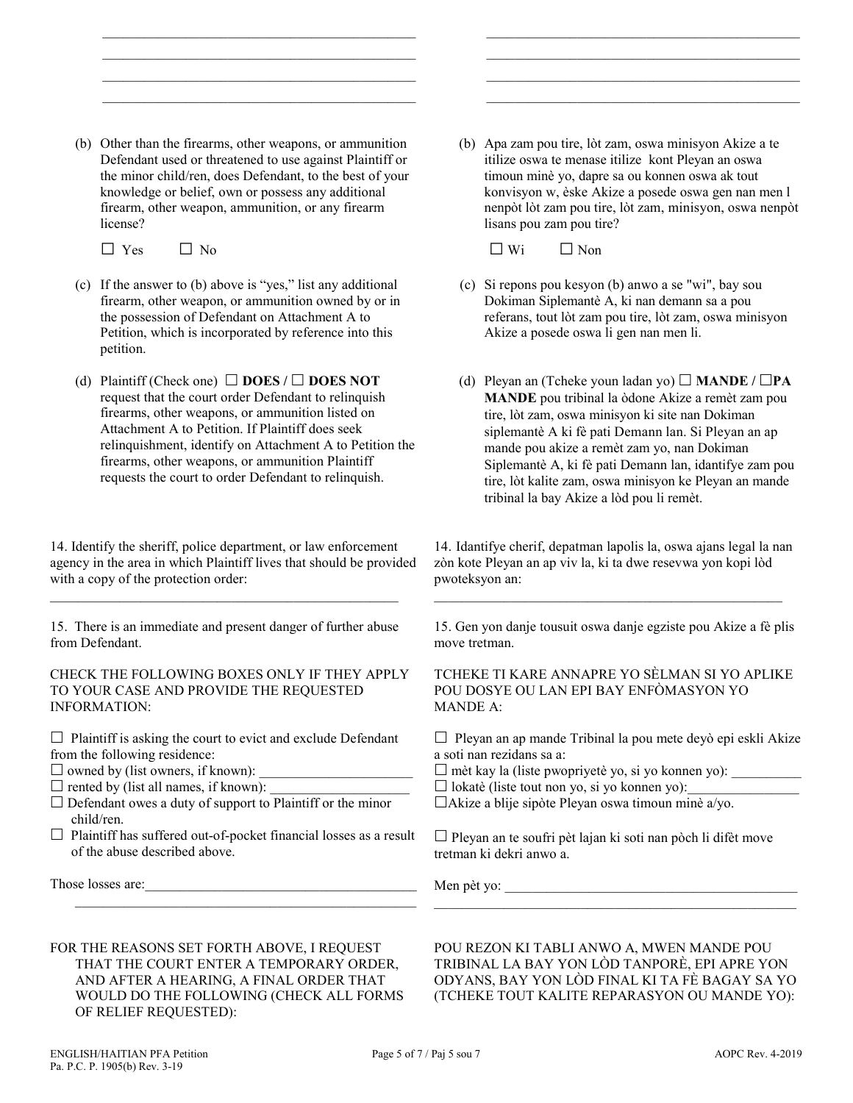(b) Other than the firearms, other weapons, or ammunition Defendant used or threatened to use against Plaintiff or the minor child/ren, does Defendant, to the best of your knowledge or belief, own or possess any additional firearm, other weapon, ammunition, or any firearm license?

 $\mathcal{L}_\text{max}$  , and the set of the set of the set of the set of the set of the set of the set of the set of the set of the set of the set of the set of the set of the set of the set of the set of the set of the set of the  $\mathcal{L}_\text{max}$  , and the set of the set of the set of the set of the set of the set of the set of the set of the set of the set of the set of the set of the set of the set of the set of the set of the set of the set of the  $\mathcal{L}=\underbrace{\mathcal{L}=\mathcal{L}=\mathcal{L}=\mathcal{L}=\mathcal{L}=\mathcal{L}=\mathcal{L}=\mathcal{L}=\mathcal{L}=\mathcal{L}=\mathcal{L}=\mathcal{L}=\mathcal{L}=\mathcal{L}=\mathcal{L}=\mathcal{L}=\mathcal{L}=\mathcal{L}=\mathcal{L}=\mathcal{L}=\mathcal{L}=\mathcal{L}=\mathcal{L}=\mathcal{L}=\mathcal{L}=\mathcal{L}=\mathcal{L}=\mathcal{L}=\mathcal{L}=\mathcal{L}=\mathcal{L}=\mathcal{L}=\mathcal{L}=\mathcal{L}=\mathcal{L}=\$  $\mathcal{L}_\text{max}$  , and the set of the set of the set of the set of the set of the set of the set of the set of the set of the set of the set of the set of the set of the set of the set of the set of the set of the set of the

 $\Box$  Yes  $\Box$  No

- (c) If the answer to (b) above is "yes," list any additional firearm, other weapon, or ammunition owned by or in the possession of Defendant on Attachment A to Petition, which is incorporated by reference into this petition.
- (d) Plaintiff (Check one)  $\Box$  **DOES** /  $\Box$  **DOES NOT** request that the court order Defendant to relinquish firearms, other weapons, or ammunition listed on Attachment A to Petition. If Plaintiff does seek relinquishment, identify on Attachment A to Petition the firearms, other weapons, or ammunition Plaintiff requests the court to order Defendant to relinquish.

14. Identify the sheriff, police department, or law enforcement agency in the area in which Plaintiff lives that should be provided with a copy of the protection order:

15. There is an immediate and present danger of further abuse from Defendant.

 $\mathcal{L}_\text{max} = \mathcal{L}_\text{max} = \mathcal{L}_\text{max} = \mathcal{L}_\text{max} = \mathcal{L}_\text{max} = \mathcal{L}_\text{max} = \mathcal{L}_\text{max} = \mathcal{L}_\text{max} = \mathcal{L}_\text{max} = \mathcal{L}_\text{max} = \mathcal{L}_\text{max} = \mathcal{L}_\text{max} = \mathcal{L}_\text{max} = \mathcal{L}_\text{max} = \mathcal{L}_\text{max} = \mathcal{L}_\text{max} = \mathcal{L}_\text{max} = \mathcal{L}_\text{max} = \mathcal{$ 

#### CHECK THE FOLLOWING BOXES ONLY IF THEY APPLY TO YOUR CASE AND PROVIDE THE REQUESTED INFORMATION:

 $\Box$  Plaintiff is asking the court to evict and exclude Defendant from the following residence:

- $\square$  owned by (list owners, if known):
- $\square$  rented by (list all names, if known):
- $\square$  Defendant owes a duty of support to Plaintiff or the minor child/ren.
- $\Box$  Plaintiff has suffered out-of-pocket financial losses as a result of the abuse described above.

\_\_\_\_\_\_\_\_\_\_\_\_\_\_\_\_\_\_\_\_\_\_\_\_\_\_\_\_\_\_\_\_\_\_\_\_\_\_\_\_\_\_\_\_\_\_\_\_\_

Those losses are:

(b) Apa zam pou tire, lòt zam, oswa minisyon Akize a te itilize oswa te menase itilize kont Pleyan an oswa timoun minè yo, dapre sa ou konnen oswa ak tout konvisyon w, èske Akize a posede oswa gen nan men l nenpòt lòt zam pou tire, lòt zam, minisyon, oswa nenpòt lisans pou zam pou tire?

 \_\_\_\_\_\_\_\_\_\_\_\_\_\_\_\_\_\_\_\_\_\_\_\_\_\_\_\_\_\_\_\_\_\_\_\_\_\_\_\_\_\_\_\_\_ \_\_\_\_\_\_\_\_\_\_\_\_\_\_\_\_\_\_\_\_\_\_\_\_\_\_\_\_\_\_\_\_\_\_\_\_\_\_\_\_\_\_\_\_\_  $\mathcal{L}=\frac{1}{2} \sum_{i=1}^{n} \frac{1}{2} \sum_{j=1}^{n} \frac{1}{2} \sum_{j=1}^{n} \frac{1}{2} \sum_{j=1}^{n} \frac{1}{2} \sum_{j=1}^{n} \frac{1}{2} \sum_{j=1}^{n} \frac{1}{2} \sum_{j=1}^{n} \frac{1}{2} \sum_{j=1}^{n} \frac{1}{2} \sum_{j=1}^{n} \frac{1}{2} \sum_{j=1}^{n} \frac{1}{2} \sum_{j=1}^{n} \frac{1}{2} \sum_{j=1}^{n} \frac{1}{2} \sum_{$ \_\_\_\_\_\_\_\_\_\_\_\_\_\_\_\_\_\_\_\_\_\_\_\_\_\_\_\_\_\_\_\_\_\_\_\_\_\_\_\_\_\_\_\_\_

 $\Box$  Wi  $\Box$  Non

- (c) Si repons pou kesyon (b) anwo a se "wi", bay sou Dokiman Siplemantè A, ki nan demann sa a pou referans, tout lòt zam pou tire, lòt zam, oswa minisyon Akize a posede oswa li gen nan men li.
- (d) Pleyan an (Tcheke youn ladan yo)  $\Box$  **MANDE** /  $\Box$ **PA MANDE** pou tribinal la òdone Akize a remèt zam pou tire, lòt zam, oswa minisyon ki site nan Dokiman siplemantè A ki fè pati Demann lan. Si Pleyan an ap mande pou akize a remèt zam yo, nan Dokiman Siplemantè A, ki fè pati Demann lan, idantifye zam pou tire, lòt kalite zam, oswa minisyon ke Pleyan an mande tribinal la bay Akize a lòd pou li remèt.

14. Idantifye cherif, depatman lapolis la, oswa ajans legal la nan zòn kote Pleyan an ap viv la, ki ta dwe resevwa yon kopi lòd pwoteksyon an:

 $\mathcal{L}_\mathcal{L} = \{ \mathcal{L}_\mathcal{L} = \{ \mathcal{L}_\mathcal{L} = \{ \mathcal{L}_\mathcal{L} = \{ \mathcal{L}_\mathcal{L} = \{ \mathcal{L}_\mathcal{L} = \{ \mathcal{L}_\mathcal{L} = \{ \mathcal{L}_\mathcal{L} = \{ \mathcal{L}_\mathcal{L} = \{ \mathcal{L}_\mathcal{L} = \{ \mathcal{L}_\mathcal{L} = \{ \mathcal{L}_\mathcal{L} = \{ \mathcal{L}_\mathcal{L} = \{ \mathcal{L}_\mathcal{L} = \{ \mathcal{L}_\mathcal{$ 

15. Gen yon danje tousuit oswa danje egziste pou Akize a fè plis move tretman.

### TCHEKE TI KARE ANNAPRE YO SÈLMAN SI YO APLIKE POU DOSYE OU LAN EPI BAY ENFÒMASYON YO MANDE A:

 $\Box$  Pleyan an ap mande Tribinal la pou mete deyò epi eskli Akize a soti nan rezidans sa a:

 $\Box$  mèt kay la (liste pwopriyetè yo, si yo konnen yo):

 $\Box$  lokatè (liste tout non yo, si yo konnen yo):

Akize a blije sipòte Pleyan oswa timoun minè a/yo.

 $\Box$  Pleyan an te soufri pèt lajan ki soti nan pòch li difèt move tretman ki dekri anwo a.

Men pèt yo:  $\Box$ 

FOR THE REASONS SET FORTH ABOVE, I REQUEST THAT THE COURT ENTER A TEMPORARY ORDER, AND AFTER A HEARING, A FINAL ORDER THAT WOULD DO THE FOLLOWING (CHECK ALL FORMS OF RELIEF REQUESTED):

POU REZON KI TABLI ANWO A, MWEN MANDE POU TRIBINAL LA BAY YON LÒD TANPORÈ, EPI APRE YON ODYANS, BAY YON LÒD FINAL KI TA FÈ BAGAY SA YO (TCHEKE TOUT KALITE REPARASYON OU MANDE YO):

\_\_\_\_\_\_\_\_\_\_\_\_\_\_\_\_\_\_\_\_\_\_\_\_\_\_\_\_\_\_\_\_\_\_\_\_\_\_\_\_\_\_\_\_\_\_\_\_\_\_\_\_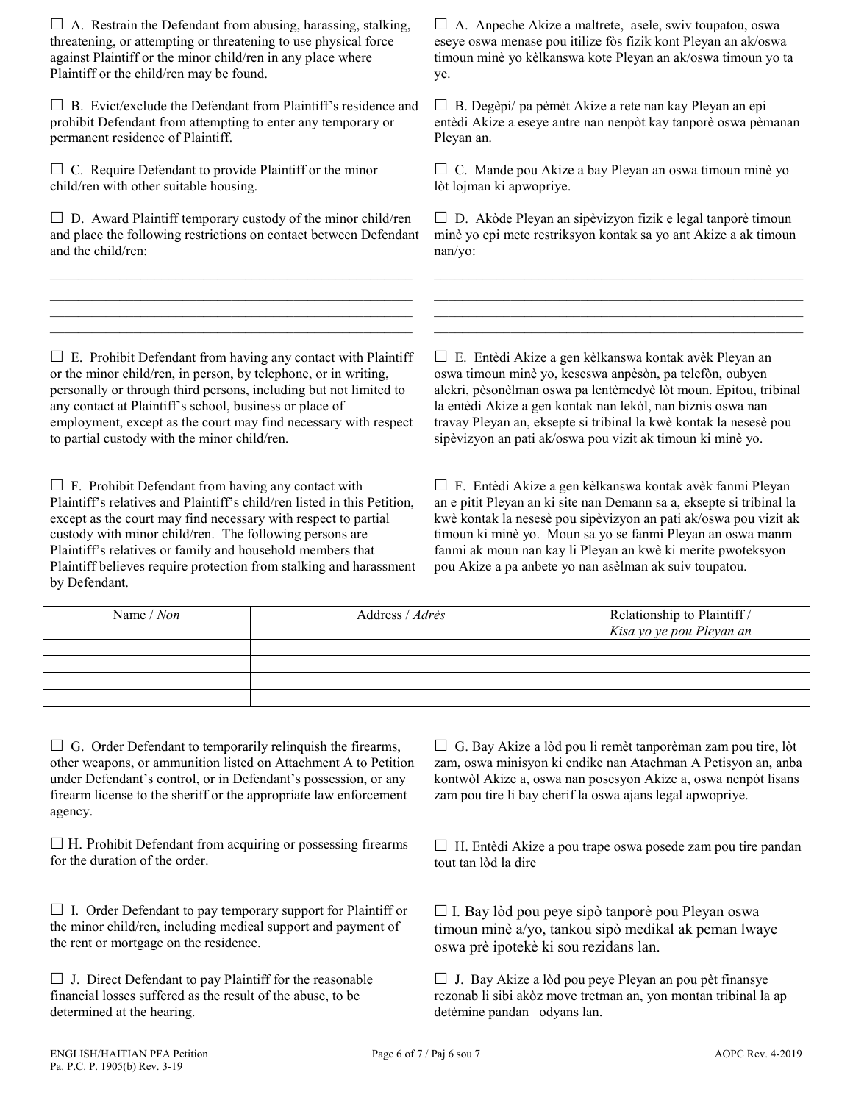$\Box$  A. Restrain the Defendant from abusing, harassing, stalking, threatening, or attempting or threatening to use physical force against Plaintiff or the minor child/ren in any place where Plaintiff or the child/ren may be found.

 $\square$  B. Evict/exclude the Defendant from Plaintiff's residence and prohibit Defendant from attempting to enter any temporary or permanent residence of Plaintiff.

 $\Box$  C. Require Defendant to provide Plaintiff or the minor child/ren with other suitable housing.

 $\square$  D. Award Plaintiff temporary custody of the minor child/ren and place the following restrictions on contact between Defendant and the child/ren:

 $\mathcal{L}_\text{max}$  and  $\mathcal{L}_\text{max}$  and  $\mathcal{L}_\text{max}$  and  $\mathcal{L}_\text{max}$  and  $\mathcal{L}_\text{max}$ \_\_\_\_\_\_\_\_\_\_\_\_\_\_\_\_\_\_\_\_\_\_\_\_\_\_\_\_\_\_\_\_\_\_\_\_\_\_\_\_\_\_\_\_\_\_\_\_\_\_\_\_  $\mathcal{L}_\text{max}$  and  $\mathcal{L}_\text{max}$  and  $\mathcal{L}_\text{max}$  and  $\mathcal{L}_\text{max}$  and  $\mathcal{L}_\text{max}$  $\mathcal{L}_\text{max}$  and  $\mathcal{L}_\text{max}$  and  $\mathcal{L}_\text{max}$  and  $\mathcal{L}_\text{max}$  and  $\mathcal{L}_\text{max}$ 

 $\Box$  A. Anpeche Akize a maltrete, asele, swiv toupatou, oswa eseye oswa menase pou itilize fòs fizik kont Pleyan an ak/oswa timoun minè yo kèlkanswa kote Pleyan an ak/oswa timoun yo ta ye.

 $\Box$  B. Degèpi/ pa pèmèt Akize a rete nan kay Pleyan an epi entèdi Akize a eseye antre nan nenpòt kay tanporè oswa pèmanan Pleyan an.

 $\Box$  C. Mande pou Akize a bay Pleyan an oswa timoun minè yo lòt lojman ki apwopriye.

 $\square$  D. Akòde Pleyan an sipèvizyon fizik e legal tanporè timoun minè yo epi mete restriksyon kontak sa yo ant Akize a ak timoun nan/yo:

 $\mathcal{L}_\text{max}$  and  $\mathcal{L}_\text{max}$  and  $\mathcal{L}_\text{max}$  and  $\mathcal{L}_\text{max}$  and  $\mathcal{L}_\text{max}$ \_\_\_\_\_\_\_\_\_\_\_\_\_\_\_\_\_\_\_\_\_\_\_\_\_\_\_\_\_\_\_\_\_\_\_\_\_\_\_\_\_\_\_\_\_\_\_\_\_\_\_\_\_  $\mathcal{L}_\text{max}$  and the set of the set of the set of the set of the set of the set of the set of the set of the set of  $\mathcal{L}_\text{max}$  and  $\mathcal{L}_\text{max}$  and  $\mathcal{L}_\text{max}$  and  $\mathcal{L}_\text{max}$  and  $\mathcal{L}_\text{max}$  and  $\mathcal{L}_\text{max}$ 

 $\square$  E. Prohibit Defendant from having any contact with Plaintiff or the minor child/ren, in person, by telephone, or in writing, personally or through third persons, including but not limited to any contact at Plaintiff's school, business or place of employment, except as the court may find necessary with respect to partial custody with the minor child/ren.

 $\Box$  F. Prohibit Defendant from having any contact with Plaintiff's relatives and Plaintiff's child/ren listed in this Petition, except as the court may find necessary with respect to partial custody with minor child/ren. The following persons are Plaintiff's relatives or family and household members that Plaintiff believes require protection from stalking and harassment by Defendant.

 E. Entèdi Akize a gen kèlkanswa kontak avèk Pleyan an oswa timoun minè yo, keseswa anpèsòn, pa telefòn, oubyen alekri, pèsonèlman oswa pa lentèmedyè lòt moun. Epitou, tribinal la entèdi Akize a gen kontak nan lekòl, nan biznis oswa nan travay Pleyan an, eksepte si tribinal la kwè kontak la nesesè pou sipèvizyon an pati ak/oswa pou vizit ak timoun ki minè yo.

 F. Entèdi Akize a gen kèlkanswa kontak avèk fanmi Pleyan an e pitit Pleyan an ki site nan Demann sa a, eksepte si tribinal la kwè kontak la nesesè pou sipèvizyon an pati ak/oswa pou vizit ak timoun ki minè yo. Moun sa yo se fanmi Pleyan an oswa manm fanmi ak moun nan kay li Pleyan an kwè ki merite pwoteksyon pou Akize a pa anbete yo nan asèlman ak suiv toupatou.

| Name / Non | Address / Adrès | Relationship to Plaintiff /<br>Kisa yo ye pou Pleyan an |
|------------|-----------------|---------------------------------------------------------|
|            |                 |                                                         |
|            |                 |                                                         |
|            |                 |                                                         |
|            |                 |                                                         |

 $\Box$  G. Order Defendant to temporarily relinquish the firearms, other weapons, or ammunition listed on Attachment A to Petition under Defendant's control, or in Defendant's possession, or any firearm license to the sheriff or the appropriate law enforcement agency.

 $\Box$  H. Prohibit Defendant from acquiring or possessing firearms for the duration of the order.

 $\Box$  I. Order Defendant to pay temporary support for Plaintiff or the minor child/ren, including medical support and payment of the rent or mortgage on the residence.

 $\Box$  J. Direct Defendant to pay Plaintiff for the reasonable financial losses suffered as the result of the abuse, to be determined at the hearing.

 $\Box$  G. Bay Akize a lòd pou li remèt tanporèman zam pou tire, lòt zam, oswa minisyon ki endike nan Atachman A Petisyon an, anba kontwòl Akize a, oswa nan posesyon Akize a, oswa nenpòt lisans zam pou tire li bay cherif la oswa ajans legal apwopriye.

 $\Box$  H. Entèdi Akize a pou trape oswa posede zam pou tire pandan tout tan lòd la dire

 $\Box$  I. Bay lòd pou peye sipò tanporè pou Pleyan oswa timoun minè a/yo, tankou sipò medikal ak peman lwaye oswa prè ipotekè ki sou rezidans lan.

 $\Box$  J. Bay Akize a lòd pou peye Pleyan an pou pèt finansye rezonab li sibi akòz move tretman an, yon montan tribinal la ap detèmine pandan odyans lan.